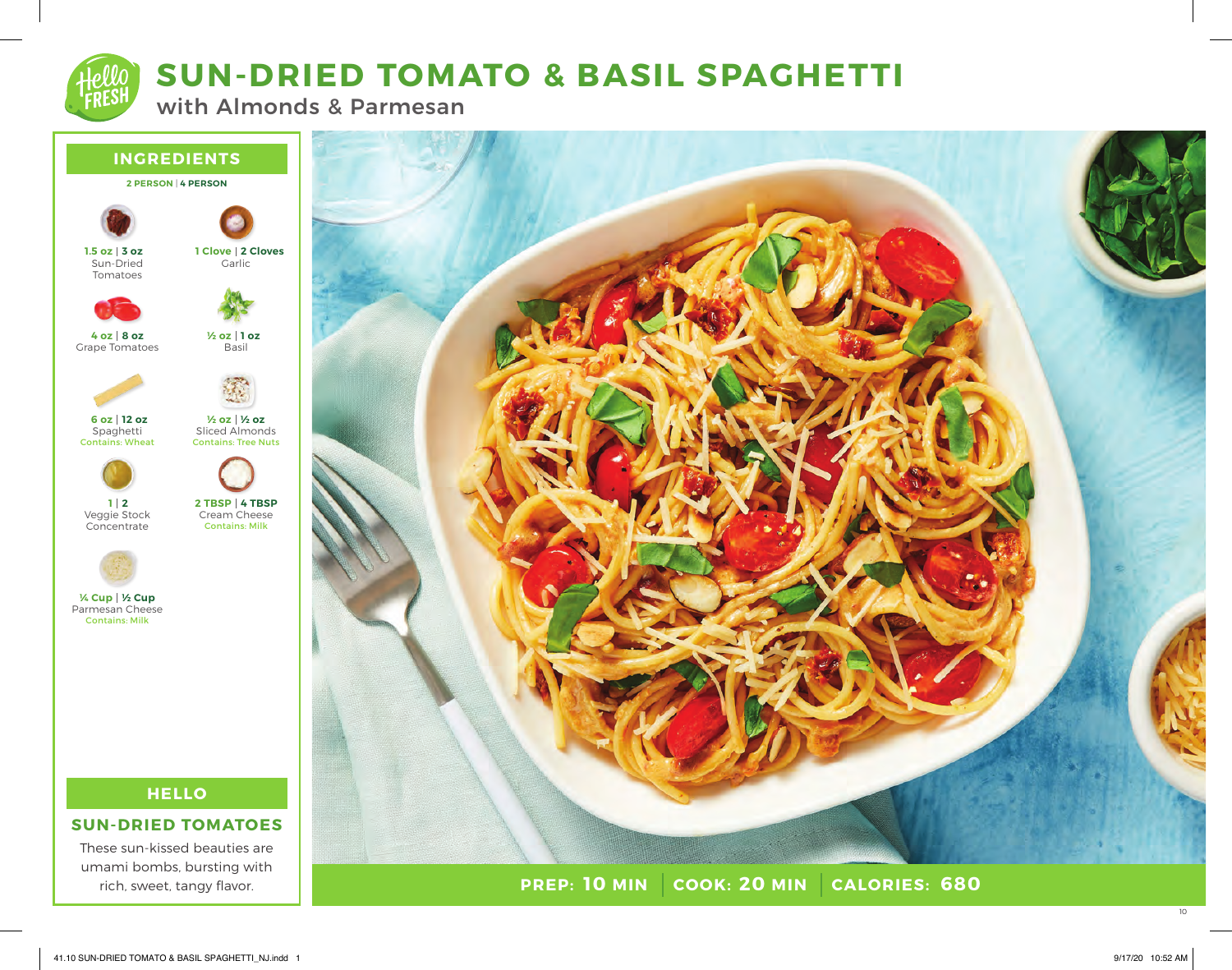# **SUN-DRIED TOMATO & BASIL SPAGHETTI**

with Almonds & Parmesan





10